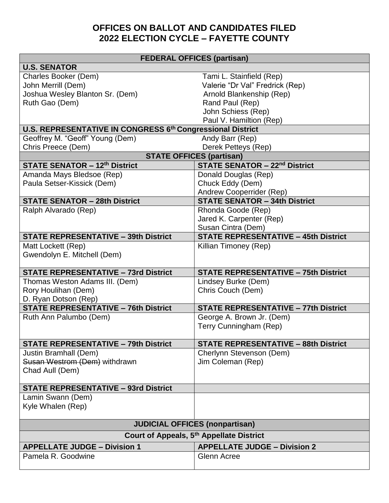## **OFFICES ON BALLOT AND CANDIDATES FILED 2022 ELECTION CYCLE – FAYETTE COUNTY**

## **FEDERAL OFFICES (partisan)**

| <b>U.S. SENATOR</b>                                                 |                                             |  |
|---------------------------------------------------------------------|---------------------------------------------|--|
| Charles Booker (Dem)                                                | Tami L. Stainfield (Rep)                    |  |
| John Merrill (Dem)                                                  | Valerie "Dr Val" Fredrick (Rep)             |  |
| Joshua Wesley Blanton Sr. (Dem)                                     | Arnold Blankenship (Rep)                    |  |
| Ruth Gao (Dem)                                                      | Rand Paul (Rep)                             |  |
|                                                                     | John Schiess (Rep)                          |  |
|                                                                     | Paul V. Hamiltion (Rep)                     |  |
| <b>U.S. REPRESENTATIVE IN CONGRESS 6th Congressional District</b>   |                                             |  |
| Geoffrey M. "Geoff" Young (Dem)                                     | Andy Barr (Rep)                             |  |
| Chris Preece (Dem)                                                  | Derek Petteys (Rep)                         |  |
|                                                                     | <b>STATE OFFICES (partisan)</b>             |  |
| <b>STATE SENATOR - 12th District</b>                                | <b>STATE SENATOR - 22nd District</b>        |  |
| Amanda Mays Bledsoe (Rep)                                           | Donald Douglas (Rep)                        |  |
| Paula Setser-Kissick (Dem)                                          | Chuck Eddy (Dem)                            |  |
|                                                                     | Andrew Cooperrider (Rep)                    |  |
| <b>STATE SENATOR - 28th District</b>                                | <b>STATE SENATOR - 34th District</b>        |  |
| Ralph Alvarado (Rep)                                                | Rhonda Goode (Rep)                          |  |
|                                                                     | Jared K. Carpenter (Rep)                    |  |
|                                                                     | Susan Cintra (Dem)                          |  |
| <b>STATE REPRESENTATIVE - 39th District</b>                         | <b>STATE REPRESENTATIVE - 45th District</b> |  |
| Matt Lockett (Rep)                                                  | Killian Timoney (Rep)                       |  |
| Gwendolyn E. Mitchell (Dem)                                         |                                             |  |
|                                                                     |                                             |  |
| <b>STATE REPRESENTATIVE - 73rd District</b>                         | <b>STATE REPRESENTATIVE - 75th District</b> |  |
| Thomas Weston Adams III. (Dem)                                      | Lindsey Burke (Dem)                         |  |
| Rory Houlihan (Dem)                                                 | Chris Couch (Dem)                           |  |
| D. Ryan Dotson (Rep)<br><b>STATE REPRESENTATIVE - 76th District</b> | <b>STATE REPRESENTATIVE - 77th District</b> |  |
|                                                                     |                                             |  |
| Ruth Ann Palumbo (Dem)                                              | George A. Brown Jr. (Dem)                   |  |
|                                                                     | Terry Cunningham (Rep)                      |  |
| <b>STATE REPRESENTATIVE - 79th District</b>                         | <b>STATE REPRESENTATIVE - 88th District</b> |  |
| Justin Bramhall (Dem)                                               | Cherlynn Stevenson (Dem)                    |  |
| Susan Westrom (Dem) withdrawn                                       | Jim Coleman (Rep)                           |  |
| Chad Aull (Dem)                                                     |                                             |  |
|                                                                     |                                             |  |
| <b>STATE REPRESENTATIVE - 93rd District</b>                         |                                             |  |
| Lamin Swann (Dem)                                                   |                                             |  |
| Kyle Whalen (Rep)                                                   |                                             |  |
|                                                                     |                                             |  |
| <b>JUDICIAL OFFICES (nonpartisan)</b>                               |                                             |  |
| Court of Appeals, 5th Appellate District                            |                                             |  |
| <b>APPELLATE JUDGE - Division 1</b>                                 | <b>APPELLATE JUDGE - Division 2</b>         |  |
| Pamela R. Goodwine                                                  | <b>Glenn Acree</b>                          |  |
|                                                                     |                                             |  |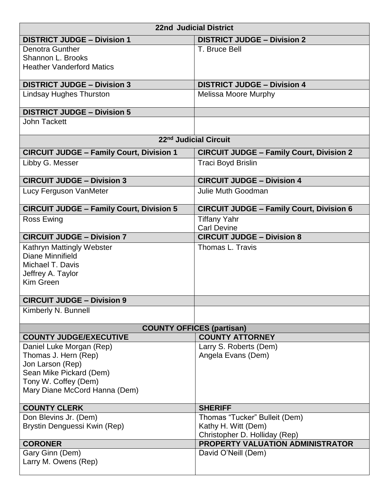| <b>22nd Judicial District</b>                                                                              |                                                      |  |
|------------------------------------------------------------------------------------------------------------|------------------------------------------------------|--|
| <b>DISTRICT JUDGE - Division 1</b>                                                                         | <b>DISTRICT JUDGE - Division 2</b>                   |  |
| <b>Denotra Gunther</b>                                                                                     | T. Bruce Bell                                        |  |
| Shannon L. Brooks                                                                                          |                                                      |  |
| <b>Heather Vanderford Matics</b>                                                                           |                                                      |  |
| <b>DISTRICT JUDGE - Division 3</b>                                                                         | <b>DISTRICT JUDGE - Division 4</b>                   |  |
| <b>Lindsay Hughes Thurston</b>                                                                             | <b>Melissa Moore Murphy</b>                          |  |
| <b>DISTRICT JUDGE - Division 5</b>                                                                         |                                                      |  |
| <b>John Tackett</b>                                                                                        |                                                      |  |
| 22nd Judicial Circuit                                                                                      |                                                      |  |
| <b>CIRCUIT JUDGE - Family Court, Division 1</b>                                                            | <b>CIRCUIT JUDGE - Family Court, Division 2</b>      |  |
| Libby G. Messer                                                                                            | Traci Boyd Brislin                                   |  |
| <b>CIRCUIT JUDGE - Division 3</b>                                                                          | <b>CIRCUIT JUDGE - Division 4</b>                    |  |
| Lucy Ferguson VanMeter                                                                                     | Julie Muth Goodman                                   |  |
| <b>CIRCUIT JUDGE - Family Court, Division 5</b>                                                            | <b>CIRCUIT JUDGE - Family Court, Division 6</b>      |  |
| <b>Ross Ewing</b>                                                                                          | <b>Tiffany Yahr</b><br><b>Carl Devine</b>            |  |
| <b>CIRCUIT JUDGE - Division 7</b>                                                                          | <b>CIRCUIT JUDGE - Division 8</b>                    |  |
| Kathryn Mattingly Webster<br><b>Diane Minnifield</b><br>Michael T. Davis<br>Jeffrey A. Taylor<br>Kim Green | Thomas L. Travis                                     |  |
| <b>CIRCUIT JUDGE - Division 9</b>                                                                          |                                                      |  |
| Kimberly N. Bunnell                                                                                        |                                                      |  |
|                                                                                                            | <b>COUNTY OFFICES (partisan)</b>                     |  |
| <b>COUNTY JUDGE/EXECUTIVE</b>                                                                              | <b>COUNTY ATTORNEY</b>                               |  |
| Daniel Luke Morgan (Rep)                                                                                   | Larry S. Roberts (Dem)<br>Angela Evans (Dem)         |  |
| Thomas J. Hern (Rep)<br>Jon Larson (Rep)                                                                   |                                                      |  |
| Sean Mike Pickard (Dem)                                                                                    |                                                      |  |
| Tony W. Coffey (Dem)                                                                                       |                                                      |  |
| Mary Diane McCord Hanna (Dem)                                                                              |                                                      |  |
| <b>COUNTY CLERK</b>                                                                                        | <b>SHERIFF</b>                                       |  |
| Don Blevins Jr. (Dem)                                                                                      | Thomas "Tucker" Bulleit (Dem)                        |  |
| Brystin Denguessi Kwin (Rep)                                                                               | Kathy H. Witt (Dem)<br>Christopher D. Holliday (Rep) |  |
| <b>CORONER</b>                                                                                             | PROPERTY VALUATION ADMINISTRATOR                     |  |
| Gary Ginn (Dem)                                                                                            | David O'Neill (Dem)                                  |  |
| Larry M. Owens (Rep)                                                                                       |                                                      |  |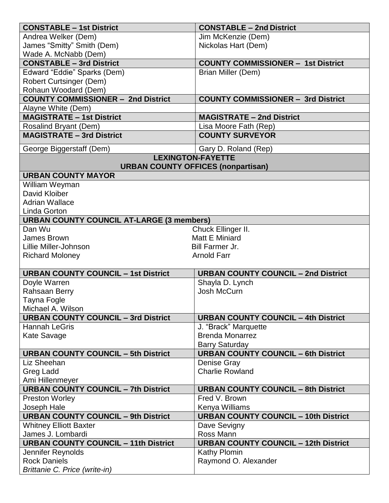| <b>CONSTABLE - 1st District</b><br><b>CONSTABLE - 2nd District</b>                                          |  |
|-------------------------------------------------------------------------------------------------------------|--|
| Andrea Welker (Dem)<br>Jim McKenzie (Dem)                                                                   |  |
| James "Smitty" Smith (Dem)<br>Nickolas Hart (Dem)                                                           |  |
| Wade A. McNabb (Dem)                                                                                        |  |
| <b>CONSTABLE - 3rd District</b><br><b>COUNTY COMMISSIONER - 1st District</b>                                |  |
| Edward "Eddie" Sparks (Dem)<br>Brian Miller (Dem)                                                           |  |
| <b>Robert Curtsinger (Dem)</b>                                                                              |  |
| Rohaun Woodard (Dem)                                                                                        |  |
| <b>COUNTY COMMISSIONER - 2nd District</b><br><b>COUNTY COMMISSIONER - 3rd District</b>                      |  |
| Alayne White (Dem)                                                                                          |  |
| <b>MAGISTRATE - 1st District</b><br><b>MAGISTRATE - 2nd District</b>                                        |  |
| Lisa Moore Fath (Rep)<br>Rosalind Bryant (Dem)                                                              |  |
| <b>MAGISTRATE - 3rd District</b><br><b>COUNTY SURVEYOR</b>                                                  |  |
| George Biggerstaff (Dem)<br>Gary D. Roland (Rep)                                                            |  |
| <b>LEXINGTON-FAYETTE</b>                                                                                    |  |
| <b>URBAN COUNTY OFFICES (nonpartisan)</b>                                                                   |  |
| <b>URBAN COUNTY MAYOR</b>                                                                                   |  |
| William Weyman                                                                                              |  |
| David Kloiber                                                                                               |  |
| <b>Adrian Wallace</b>                                                                                       |  |
| Linda Gorton                                                                                                |  |
| <b>URBAN COUNTY COUNCIL AT-LARGE (3 members)</b><br>Dan Wu<br>Chuck Ellinger II.                            |  |
| Matt E Miniard<br><b>James Brown</b>                                                                        |  |
| Lillie Miller-Johnson<br><b>Bill Farmer Jr.</b>                                                             |  |
| <b>Arnold Farr</b><br><b>Richard Moloney</b>                                                                |  |
|                                                                                                             |  |
| <b>URBAN COUNTY COUNCIL - 1st District</b><br><b>URBAN COUNTY COUNCIL - 2nd District</b>                    |  |
| Doyle Warren<br>Shayla D. Lynch                                                                             |  |
| Rahsaan Berry<br>Josh McCurn                                                                                |  |
| <b>Tayna Fogle</b>                                                                                          |  |
| Michael A. Wilson                                                                                           |  |
| <b>URBAN COUNTY COUNCIL - 3rd District</b><br><b>URBAN COUNTY COUNCIL - 4th District</b>                    |  |
| <b>Hannah LeGris</b><br>J. "Brack" Marquette                                                                |  |
| <b>Brenda Monarrez</b><br>Kate Savage                                                                       |  |
| <b>Barry Saturday</b>                                                                                       |  |
| <b>URBAN COUNTY COUNCIL - 6th District</b><br><b>URBAN COUNTY COUNCIL - 5th District</b>                    |  |
| Liz Sheehan<br>Denise Gray                                                                                  |  |
| <b>Greg Ladd</b><br><b>Charlie Rowland</b>                                                                  |  |
| Ami Hillenmeyer<br><b>URBAN COUNTY COUNCIL - 7th District</b><br><b>URBAN COUNTY COUNCIL - 8th District</b> |  |
| <b>Preston Worley</b><br>Fred V. Brown                                                                      |  |
| Kenya Williams<br>Joseph Hale                                                                               |  |
| <b>URBAN COUNTY COUNCIL - 9th District</b><br><b>URBAN COUNTY COUNCIL - 10th District</b>                   |  |
| <b>Whitney Elliott Baxter</b><br>Dave Sevigny                                                               |  |
| James J. Lombardi<br>Ross Mann                                                                              |  |
| <b>URBAN COUNTY COUNCIL - 11th District</b><br><b>URBAN COUNTY COUNCIL - 12th District</b>                  |  |
| Jennifer Reynolds<br><b>Kathy Plomin</b>                                                                    |  |
| <b>Rock Daniels</b><br>Raymond O. Alexander                                                                 |  |
| Brittanie C. Price (write-in)                                                                               |  |